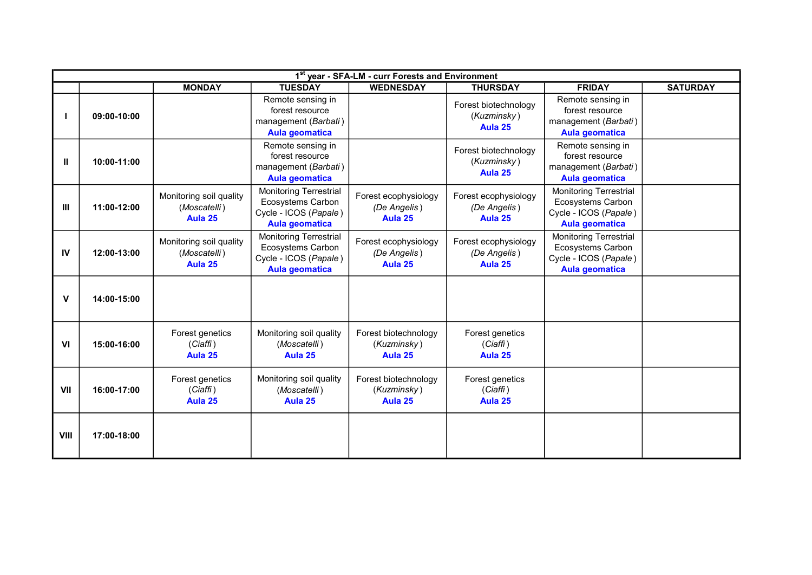|                | 1st year - SFA-LM - curr Forests and Environment |                                                    |                                                                                                      |                                                 |                                                 |                                                                                                      |                 |  |  |
|----------------|--------------------------------------------------|----------------------------------------------------|------------------------------------------------------------------------------------------------------|-------------------------------------------------|-------------------------------------------------|------------------------------------------------------------------------------------------------------|-----------------|--|--|
|                |                                                  | <b>MONDAY</b>                                      | <b>TUESDAY</b>                                                                                       | <b>WEDNESDAY</b>                                | <b>THURSDAY</b>                                 | <b>FRIDAY</b>                                                                                        | <b>SATURDAY</b> |  |  |
|                | 09:00-10:00                                      |                                                    | Remote sensing in<br>forest resource<br>management (Barbati)<br><b>Aula geomatica</b>                |                                                 | Forest biotechnology<br>(Kuzminsky)<br>Aula 25  | Remote sensing in<br>forest resource<br>management (Barbati)<br><b>Aula geomatica</b>                |                 |  |  |
| Ш              | 10:00-11:00                                      |                                                    | Remote sensing in<br>forest resource<br>management (Barbati)<br><b>Aula geomatica</b>                |                                                 | Forest biotechnology<br>(Kuzminsky)<br>Aula 25  | Remote sensing in<br>forest resource<br>management (Barbati)<br><b>Aula geomatica</b>                |                 |  |  |
| Ш              | 11:00-12:00                                      | Monitoring soil quality<br>(Moscatelli)<br>Aula 25 | <b>Monitoring Terrestrial</b><br>Ecosystems Carbon<br>Cycle - ICOS (Papale)<br><b>Aula geomatica</b> | Forest ecophysiology<br>(De Angelis)<br>Aula 25 | Forest ecophysiology<br>(De Angelis)<br>Aula 25 | <b>Monitoring Terrestrial</b><br>Ecosystems Carbon<br>Cycle - ICOS (Papale)<br><b>Aula geomatica</b> |                 |  |  |
| IV             | 12:00-13:00                                      | Monitoring soil quality<br>(Moscatelli)<br>Aula 25 | Monitoring Terrestrial<br>Ecosystems Carbon<br>Cycle - ICOS (Papale)<br><b>Aula geomatica</b>        | Forest ecophysiology<br>(De Angelis)<br>Aula 25 | Forest ecophysiology<br>(De Angelis)<br>Aula 25 | <b>Monitoring Terrestrial</b><br>Ecosystems Carbon<br>Cycle - ICOS (Papale)<br><b>Aula geomatica</b> |                 |  |  |
| v              | 14:00-15:00                                      |                                                    |                                                                                                      |                                                 |                                                 |                                                                                                      |                 |  |  |
| V <sub>l</sub> | 15:00-16:00                                      | Forest genetics<br>(Ciaffi)<br>Aula 25             | Monitoring soil quality<br>(Moscatelli)<br>Aula 25                                                   | Forest biotechnology<br>(Kuzminsky)<br>Aula 25  | Forest genetics<br>(Ciaffi)<br>Aula 25          |                                                                                                      |                 |  |  |
| VII            | 16:00-17:00                                      | Forest genetics<br>(Ciaffi)<br>Aula 25             | Monitoring soil quality<br>(Moscatelli)<br>Aula 25                                                   | Forest biotechnology<br>(Kuzminsky)<br>Aula 25  | Forest genetics<br>(Ciaffi)<br>Aula 25          |                                                                                                      |                 |  |  |
| <b>VIII</b>    | 17:00-18:00                                      |                                                    |                                                                                                      |                                                 |                                                 |                                                                                                      |                 |  |  |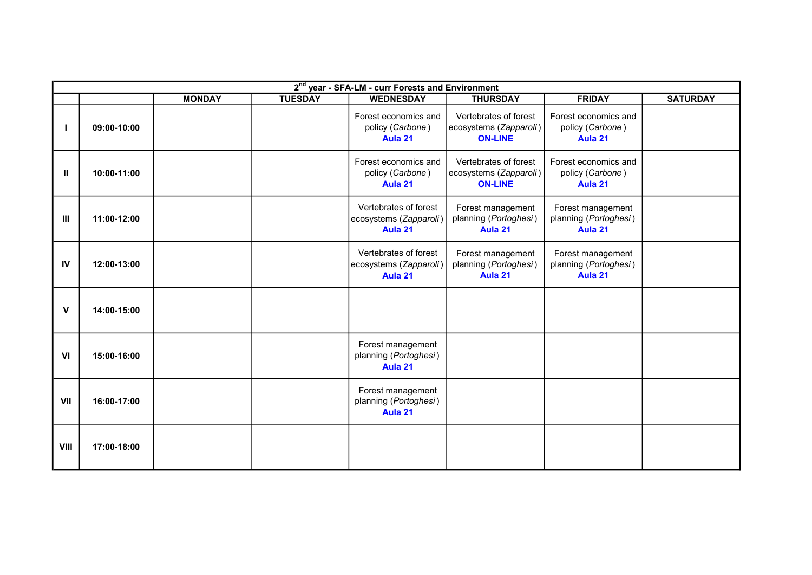|             | 2 <sup>nd</sup> year - SFA-LM - curr Forests and Environment |               |                |                                                            |                                                                   |                                                       |                 |  |  |  |
|-------------|--------------------------------------------------------------|---------------|----------------|------------------------------------------------------------|-------------------------------------------------------------------|-------------------------------------------------------|-----------------|--|--|--|
|             |                                                              | <b>MONDAY</b> | <b>TUESDAY</b> | <b>WEDNESDAY</b>                                           | <b>THURSDAY</b>                                                   | <b>FRIDAY</b>                                         | <b>SATURDAY</b> |  |  |  |
|             | 09:00-10:00                                                  |               |                | Forest economics and<br>policy (Carbone)<br>Aula 21        | Vertebrates of forest<br>ecosystems (Zapparoli)<br><b>ON-LINE</b> | Forest economics and<br>policy (Carbone)<br>Aula 21   |                 |  |  |  |
| Ш           | 10:00-11:00                                                  |               |                | Forest economics and<br>policy (Carbone)<br>Aula 21        | Vertebrates of forest<br>ecosystems (Zapparoli)<br><b>ON-LINE</b> | Forest economics and<br>policy (Carbone)<br>Aula 21   |                 |  |  |  |
| Ш           | 11:00-12:00                                                  |               |                | Vertebrates of forest<br>ecosystems (Zapparoli)<br>Aula 21 | Forest management<br>planning (Portoghesi)<br>Aula 21             | Forest management<br>planning (Portoghesi)<br>Aula 21 |                 |  |  |  |
| IV          | 12:00-13:00                                                  |               |                | Vertebrates of forest<br>ecosystems (Zapparoli)<br>Aula 21 | Forest management<br>planning (Portoghesi)<br>Aula 21             | Forest management<br>planning (Portoghesi)<br>Aula 21 |                 |  |  |  |
| V           | 14:00-15:00                                                  |               |                |                                                            |                                                                   |                                                       |                 |  |  |  |
| VI          | 15:00-16:00                                                  |               |                | Forest management<br>planning (Portoghesi)<br>Aula 21      |                                                                   |                                                       |                 |  |  |  |
| VII         | 16:00-17:00                                                  |               |                | Forest management<br>planning (Portoghesi)<br>Aula 21      |                                                                   |                                                       |                 |  |  |  |
| <b>VIII</b> | 17:00-18:00                                                  |               |                |                                                            |                                                                   |                                                       |                 |  |  |  |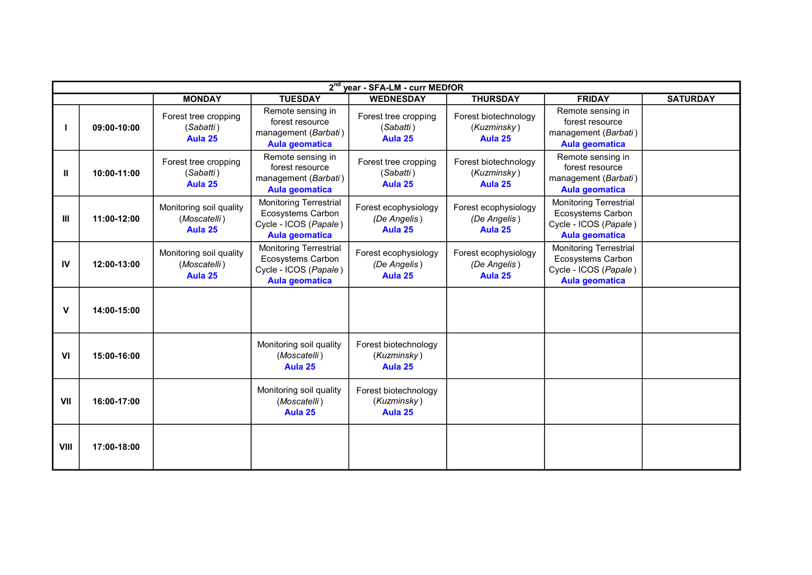|                | 2 <sup>nd</sup> year - SFA-LM - curr MEDfOR |                                                    |                                                                                                      |                                                 |                                                 |                                                                                                      |                 |  |  |
|----------------|---------------------------------------------|----------------------------------------------------|------------------------------------------------------------------------------------------------------|-------------------------------------------------|-------------------------------------------------|------------------------------------------------------------------------------------------------------|-----------------|--|--|
|                |                                             | <b>MONDAY</b>                                      | <b>TUESDAY</b>                                                                                       | <b>WEDNESDAY</b>                                | <b>THURSDAY</b>                                 | <b>FRIDAY</b>                                                                                        | <b>SATURDAY</b> |  |  |
|                | 09:00-10:00                                 | Forest tree cropping<br>(Sabatti)<br>Aula 25       | Remote sensing in<br>forest resource<br>management (Barbati)<br>Aula geomatica                       | Forest tree cropping<br>(Sabatti)<br>Aula 25    | Forest biotechnology<br>(Kuzminsky)<br>Aula 25  | Remote sensing in<br>forest resource<br>management (Barbati)<br><b>Aula geomatica</b>                |                 |  |  |
| Ш              | 10:00-11:00                                 | Forest tree cropping<br>(Sabatti)<br>Aula 25       | Remote sensing in<br>forest resource<br>management (Barbati)<br><b>Aula geomatica</b>                | Forest tree cropping<br>(Sabatti)<br>Aula 25    | Forest biotechnology<br>(Kuzminsky)<br>Aula 25  | Remote sensing in<br>forest resource<br>management (Barbati)<br><b>Aula geomatica</b>                |                 |  |  |
| Ш              | 11:00-12:00                                 | Monitoring soil quality<br>(Moscatelli)<br>Aula 25 | <b>Monitoring Terrestrial</b><br>Ecosystems Carbon<br>Cycle - ICOS (Papale)<br><b>Aula geomatica</b> | Forest ecophysiology<br>(De Angelis)<br>Aula 25 | Forest ecophysiology<br>(De Angelis)<br>Aula 25 | <b>Monitoring Terrestrial</b><br>Ecosystems Carbon<br>Cycle - ICOS (Papale)<br><b>Aula geomatica</b> |                 |  |  |
| IV             | 12:00-13:00                                 | Monitoring soil quality<br>(Moscatelli)<br>Aula 25 | <b>Monitoring Terrestrial</b><br>Ecosystems Carbon<br>Cycle - ICOS (Papale)<br><b>Aula geomatica</b> | Forest ecophysiology<br>(De Angelis)<br>Aula 25 | Forest ecophysiology<br>(De Angelis)<br>Aula 25 | <b>Monitoring Terrestrial</b><br>Ecosystems Carbon<br>Cycle - ICOS (Papale)<br><b>Aula geomatica</b> |                 |  |  |
| v              | 14:00-15:00                                 |                                                    |                                                                                                      |                                                 |                                                 |                                                                                                      |                 |  |  |
| V <sub>l</sub> | 15:00-16:00                                 |                                                    | Monitoring soil quality<br>(Moscatelli)<br>Aula 25                                                   | Forest biotechnology<br>(Kuzminsky)<br>Aula 25  |                                                 |                                                                                                      |                 |  |  |
| VII            | 16:00-17:00                                 |                                                    | Monitoring soil quality<br>(Moscatelli)<br>Aula 25                                                   | Forest biotechnology<br>(Kuzminsky)<br>Aula 25  |                                                 |                                                                                                      |                 |  |  |
| <b>VIII</b>    | 17:00-18:00                                 |                                                    |                                                                                                      |                                                 |                                                 |                                                                                                      |                 |  |  |